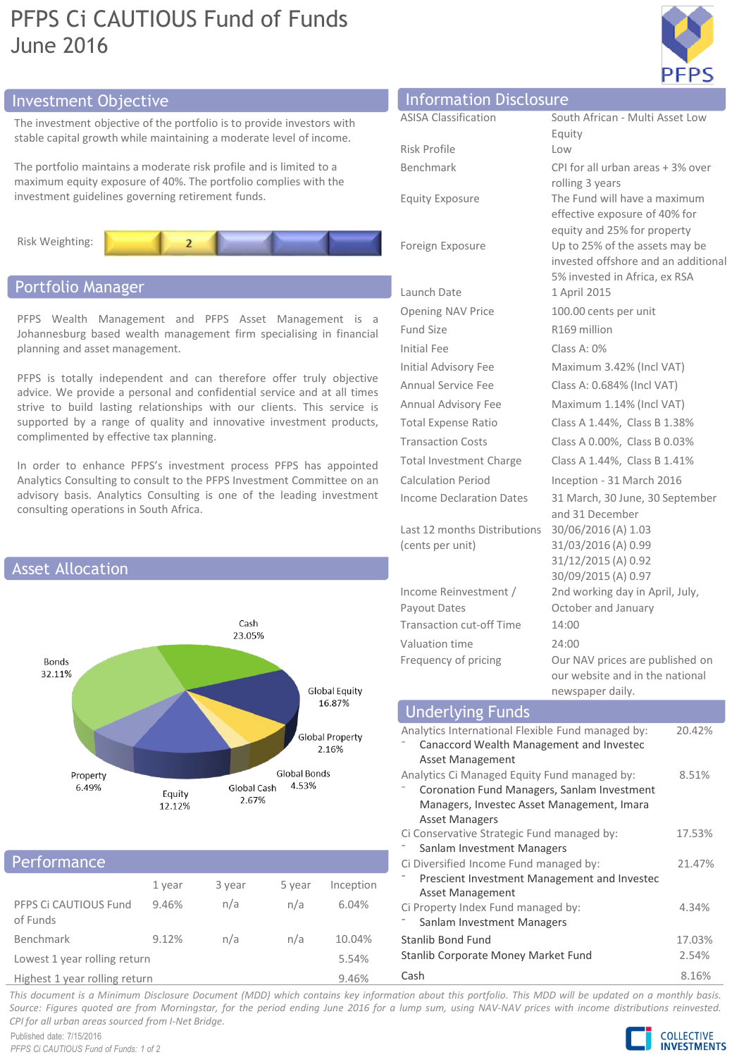# PFPS Ci CAUTIOUS Fund of Funds June 2016



# Investment Objective

The investment objective of the portfolio is to provide investors with stable capital growth while maintaining a moderate level of income.

The portfolio maintains a moderate risk profile and is limited to a maximum equity exposure of 40%. The portfolio complies with the investment guidelines governing retirement funds.



# Portfolio Manager

PFPS Wealth Management and PFPS Asset Management is a Johannesburg based wealth management firm specialising in financial planning and asset management.

PFPS is totally independent and can therefore offer truly objective advice. We provide a personal and confidential service and at all times strive to build lasting relationships with our clients. This service is supported by a range of quality and innovative investment products, complimented by effective tax planning.

In order to enhance PFPS's investment process PFPS has appointed Analytics Consulting to consult to the PFPS Investment Committee on an advisory basis. Analytics Consulting is one of the leading investment consulting operations in South Africa.



# **Performance**

|                                   | 1 year | 3 year | 5 year | Inception                   |
|-----------------------------------|--------|--------|--------|-----------------------------|
| PFPS Ci CAUTIOUS Fund<br>of Funds | 9.46%  | n/a    | n/a    | 6.04%                       |
| Benchmark                         | 9.12%  | n/a    | n/a    | 10.04%                      |
| Lowest 1 year rolling return      |        |        |        | 5.54%                       |
|                                   |        |        |        | $\sim$ $\sim$ $\sim$ $\sim$ |

Highest 1 year rolling return 9.46%

| <b>Information Disclosure</b> |                                                                                                      |
|-------------------------------|------------------------------------------------------------------------------------------------------|
| <b>ASISA Classification</b>   | South African - Multi Asset Low                                                                      |
|                               | Equity                                                                                               |
| Risk Profile                  | l ow                                                                                                 |
| Benchmark                     | CPI for all urban areas + 3% over<br>rolling 3 years                                                 |
| <b>Equity Exposure</b>        | The Fund will have a maximum<br>effective exposure of 40% for<br>equity and 25% for property         |
| Foreign Exposure              | Up to 25% of the assets may be<br>invested offshore and an additior<br>5% invested in Africa, ex RSA |
| Launch Date                   | 1 April 2015                                                                                         |
| <b>Opening NAV Price</b>      | 100.00 cents per unit                                                                                |
| <b>Fund Size</b>              | R169 million                                                                                         |
| <b>Initial Fee</b>            | Class A: $0\%$                                                                                       |
| Initial Advisory Fee          | Maximum 3.42% (Incl VAT)                                                                             |
| Annual Service Fee            | Class A: 0.684% (Incl VAT)                                                                           |

Last 12 months Distributions 30/06/2016 (A) 1.03 (cents per unit)

Income Reinvestment / Payout Dates Transaction cut-off Time 14:00 Valuation time 24:00

additional 5% invested in Africa, ex RSA Annual Advisory Fee Maximum 1.14% (Incl VAT) Total Expense Ratio Class A 1.44%, Class B 1.38% Transaction Costs Class A 0.00%, Class B 0.03% Total Investment Charge Class A 1.44%, Class B 1.41% Calculation Period Inception - 31 March 2016 Income Declaration Dates 31 March, 30 June, 30 September and 31 December 31/03/2016 (A) 0.99 31/12/2015 (A) 0.92 30/09/2015 (A) 0.97 2nd working day in April, July, October and January Frequency of pricing **Our NAV** prices are published on

our website and in the national newspaper daily.

#### Analytics International Flexible Fund managed by: ⁻ Canaccord Wealth Management and Investec Asset Management 20.42% Analytics Ci Managed Equity Fund managed by: ⁻ Coronation Fund Managers, Sanlam Investment Managers, Investec Asset Management, Imara Asset Managers 8.51% Ci Conservative Strategic Fund managed by: Sanlam Investment Managers 17.53% Ci Diversified Income Fund managed by: ⁻ Prescient Investment Management and Investec Asset Management 21.47% Underlying Funds

| Ci Property Index Fund managed by:  | 4.34%  |
|-------------------------------------|--------|
| Sanlam Investment Managers          |        |
| Stanlib Bond Fund                   | 17.03% |
| Stanlib Corporate Money Market Fund | 2.54%  |
| Cash                                | 8.16%  |

This document is a Minimum Disclosure Document (MDD) which contains key information about this portfolio. This MDD will be updated on a monthly basis. Source: Figures quoted are from Morningstar, for the period ending June 2016 for a lump sum, using NAV-NAV prices with income distributions reinvested. *CPI for all urban areas sourced from I-Net Bridge.*

Published date: 7/15/2016 *PFPS Ci CAUTIOUS Fund of Funds: 1 of 2*